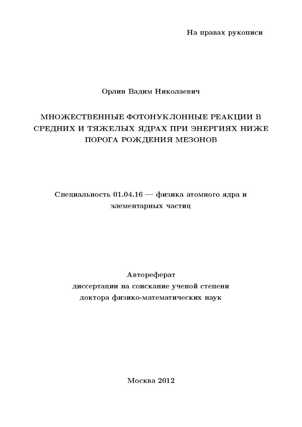На правах рукописи

# Орлин Вадим Николаевич

# МНОЖЕСТВЕННЫЕ ФОТОНУКЛОННЫЕ РЕАКЦИИ В СРЕДНИХ И ТЯЖЕЛЫХ ЯДРАХ ПРИ ЭНЕРГИЯХ НИЖЕ ПОРОГА РОЖДЕНИЯ МЕЗОНОВ

Специальность 01.04.16 — физика атомного ядра и элементарных частиц

# Автореферат диссертации на соискание ученой степени доктора физико-математических наук

Москва 2012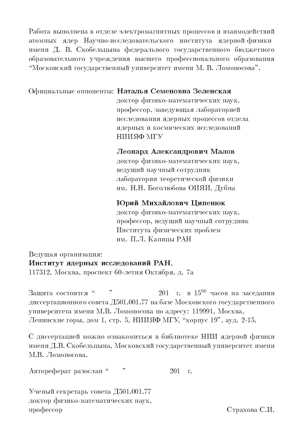Работа выполнена в отделе электромагнитных процессов и взаимодействий атомных ядер Научно-исследовательского института ядернойфизики имени Д. В. Скобельцына федерального государственного бюджетного образовательного учреждения высшего профессионального образования "Московский государственный университет имени М. В. Ломоносова".

# Официальные оппоненты: Наталья Семеновна Зеленская

доктор физико-математических наук, профессор, заведующая лабораторией исследования ядерных процессов отдела ядерных и космических исследований НИИЯФ МГУ

## Леонард Александрович Малов

доктор физико-математических наук, ведущий научный сотрудник лаборатории теоретической физики им. Н.Н. Боголюбова ОИЯИ, Дубна

# Юрий Михайлович Ципенюк

доктор физико-математических наук, профессор, ведущий научный сотрудник Института физических проблем им. П.Л. Капицы РАН

Ведущая организация:

## Институт ядерных исследований РАН.

117312, Москва, проспект 60-летия Октября, д. 7а

201 г. в  $15^{00}$  часов на заселании  $\bar{\jmath}$  ) Зашита состоится " диссертационного совета Д501.001.77 на базе Московского государственного университета имени М.В. Ломоносова по адресу: 119991, Москва, Ленинские горы, дом 1, стр. 5, НИИЯФ МГУ, "корпус 19", ауд. 2-15.

С диссертацией можно ознакомиться в библиотеке НИИ ядерной физики имени Д.В. Скобельцына, Московский государственный университет имени М.В. Ломоносова.

 $\left\langle \cdot \right\rangle$ Автореферат разослан" 201  $\Gamma$ .

Ученый секретарь совета Д501.001.77 доктор физико-математических наук, профессор

Страхова С.И.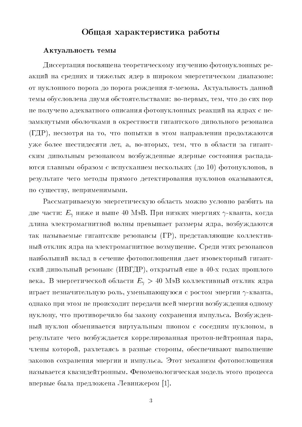# Общая характеристика работы

#### Актуальность темы

Диссертация посвящена теоретическому изучению фотонуклонных реакций на средних и тяжелых ядер в широком энергетическом диапазоне: от нуклонного порога до порога рождения п-мезона. Актуальность данной темы обусловлена двумя обстоятельствами: во-первых, тем, что до сих пор не получено адекватного описания фотонуклонных реакций на ядрах с незамкнутыми оболочками в окрестности гигантского дипольного резонанса (ГДР), несмотря на то, что попытки в этом направлении продолжаются уже более шестидесяти лет, а, во-вторых, тем, что в области за гигантским дипольным резонансом возбужденные ядерные состояния распадаются главным образом с испусканием нескольких (до 10) фотонуклонов, в результате чего методы прямого детектирования нуклонов оказываются, по существу, неприменимыми.

Рассматриваемую энергетическую область можно условно разбить на две части:  $E_{\gamma}$  ниже и выше 40 МэВ. При низких энергиях  $\gamma$ -кванта, когда длина электромагнитной волны превышает размеры ядра, возбуждаются так называемые гигантские резонансы (ГР), представляющие коллективный отклик ядра на электромагнитное возмущение. Среди этих резонансов наибольший вклад в сечение фотопоглощения дает изовекторный гигантский дипольный резонанс (ИВГДР), открытый еще в 40-х годах прошлого века. В энергетической области  $E_{\gamma} > 40$  МэВ коллективный отклик ядра играет незначительную роль, уменьшающуюся с ростом энергии  $\gamma$ -кванта, однако при этом не происходит передачи всей энергии возбуждения одному нуклону, что противоречило бы закону сохранения импульса. Возбужденный нуклон обменивается виртуальным пионом с соседним нуклоном, в результате чего возбуждается коррелированная протон-нейтронная пара, члены которой, разлетаясь в разные стороны, обеспечивают выполнение законов сохранения энергии и импульса. Этот механизм фотопоглощения называется квазидейтронным. Феноменологическая модель этого процесса впервые была предложена Левинжером [1].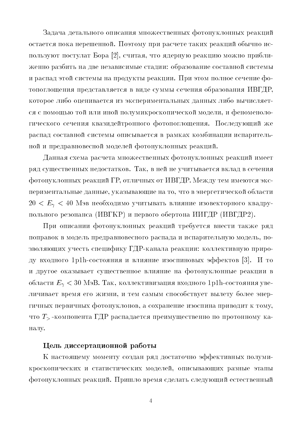Задача детального описания множественных фотонуклонных реакций остается пока нерешенной. Поэтому при расчете таких реакций обычно используют постулат Бора [2], считая, что ядерную реакцию можно приближенно разбить на две независимые стадии: образование составной системы и распад этой системы на продукты реакции. При этом полное сечение фотопоглощения представляется в виде суммы сечения образования ИВГДР, которое либо оценивается из экспериментальных данных либо вычисляется с помощью той или иной полумикроскопической модели, и феноменологического сечения квазидейтронного фотопоглощения. Последующий же распад составной системы описывается в рамках комбинации испарительной и предравновесной моделей фотонуклонных реакций.

Данная схема расчета множественных фотонуклонных реакций имеет ряд существенных недостатков. Так, в ней не учитывается вклад в сечения фотонуклонных реакций ГР, отличных от ИВГДР. Между тем имеются экспериментальные данные, указывающие на то, что в энергетической области  $20 < E_{\gamma} < 40$  Мэв необходимо учитывать влияние изовекторного квадрупольного резонанса (ИВГКР) и первого обертона ИИГДР (ИВГДР2).

При описании фотонуклонных реакций требуется внести также ряд поправок в модель предравновесного распада и испарительную модель, позволяющих учесть специфику ГДР-канала реакции: коллективную природу входного 1p1h-состояния и влияние изоспиновых эффектов [3]. И то и другое оказывает существенное влияние на фотонуклонные реакции в области  $E_{\gamma}$  < 30 МэВ. Так, коллективизация входного 1p1h-состояния увеличивает время его жизни, и тем самым способствует вылету более энергичных первичных фотонуклонов, а сохранение изоспина приводит к тому, что  $T_{\geq}$ -компонента ГДР распадается преимущественно по протонному каналу.

## Цель диссертационной работы

К настоящему моменту создан ряд достаточно эффективных полумикроскопических и статистических моделей, описывающих разные этапы фотонуклонных реакций. Пришло время сделать следующий естественный

 $\overline{4}$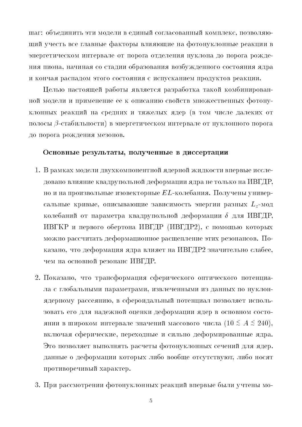шаг: объединить эти модели в единый согласованный комплекс, позволяющий учесть все главные факторы влияющие на фотонуклонные реакции в энергетическом интервале от порога отделения нуклона до порога рождения пиона, начиная со стадии образования возбужденного состояния ядра и кончая распадом этого состояния с испусканием продуктов реакции.

Целью настоящей работы является разработка такой комбинированной модели и применение ее к описанию свойств множественных фотонуклонных реакций на средних и тяжелых ядер (в том числе далеких от полосы  $\beta$ -стабильности) в энергетическом интервале от нуклонного порога до порога рождения мезонов.

#### Основные результаты, полученные в диссертации

- 1. В рамках модели двухкомпонентной ядерной жидкости впервые исследовано влияние квадрупольной деформации ядра не только на ИВГДР. но и на произвольные изовекторные  $EL$ -колебания. Получены универсальные кривые, описывающие зависимость энергии разных  $L_z$ -мод колебаний от параметра квадрупольной деформации  $\delta$  для ИВГДР, ИВГКР и первого обертона ИВГДР (ИВГДР2), с помощью которых можно рассчитать деформационное расщепление этих резонансов. Показано, что деформация ядра влияет на ИВГДР2 значительно слабее, чем на основной резонанс ИВГДР.
- 2. Показано, что трансформация сферического оптического потенциала с глобальными параметрами, извлеченными из данных по нуклонядерному рассеянию, в сфероидальный потенциал позволяет использовать его для надежной оценки деформации ядер в основном состоянии в широком интервале значений массового числа (10  $\le A \le 240$ ), включая сферические, переходные и сильно деформированные ядра. Это позволяет выполнять расчеты фотонуклонных сечений для ядер. данные о деформации которых либо вообще отсутствуют, либо носят противоречивый характер.
- 3. При рассмотрении фотонуклонных реакций впервые были учтены мо-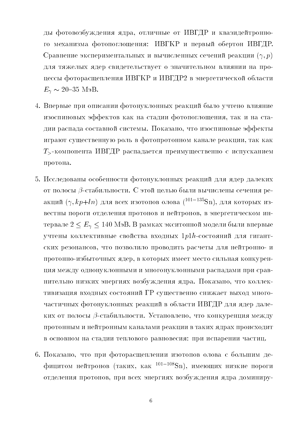ды фотовозбуждения ядра, отличные от ИВГДР и квазидейтронного механизма фотопоглощения: ИВГКР и первый обертон ИВГДР. Сравнение экспериментальных и вычисленных сечений реакции  $(\gamma, p)$ для тяжелых ядер свидетельствует о значительном влиянии на процессы фоторасщепления ИВГКР и ИВГДР2 в энергетической области  $E_{\gamma} \sim 20{\text -}35 \text{ Mg}.$ 

- 4. Впервые при описании фотонуклонных реакций было учтено влияние изоспиновых эффектов как на стадии фотопоглощения, так и на стадии распада составной системы. Показано, что изоспиновые эффекты играют существенную роль в фотопротонном канале реакции, так как  $T_{\geq}$ -компонента ИВГДР распадается преимущественно с испусканием протона.
- 5. Исследованы особенности фотонуклонных реакций для ядер далеких от полосы В-стабильности. С этой целью были вычислены сечения реакций  $(\gamma, kp+ln)$  для всех изотопов олова  $(101-135Sn)$ , для которых известны пороги отделения протонов и нейтронов, в энергетическом интервале  $2 < E_{\gamma} < 140$  МэВ. В рамках экситонной модели были впервые учтены коллективные свойства входных  $1p1h$ -состояний для гигантских резонансов, что позволило проводить расчеты для нейтронно- и протонно-избыточных ядер, в которых имеет место сильная конкуренция между однонуклонными и многонуклонными распадами при сравнительно низких энергиях возбуждения ядра. Показано, что коллективизация входных состояний ГР существенно снижает выход многочастичных фотонуклонных реакций в области ИВГДР для ядер далеких от полосы В-стабильности. Установлено, что конкуренция между протонным и нейтронным каналами реакции в таких ядрах происходит в основном на стадии теплового равновесия: при испарении частиц.
- 6. Показано, что при фоторасщеплении изотопов олова с большим дефицитом нейтронов (таких, как  $^{101-108}Sn$ ), имеющих низкие пороги отделения протонов, при всех энергиях возбуждения ядра доминиру-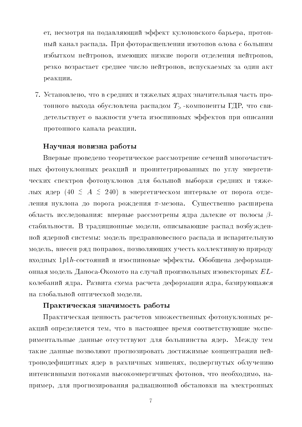ет, несмотря на подавляющий эффект кулоновского барьера, протонный канал распада. При фоторасщеплении изотопов олова с большим избытком нейтронов, имеющих низкие пороги отделения нейтронов, резко возрастает среднее число нейтронов, испускаемых за один акт реакции.

7. Установлено, что в средних и тяжелых ядрах значительная часть протонного выхода обусловлена распадом  $T$ -компоненты ГДР, что свидетельствует о важности учета изоспиновых эффектов при описании протонного канала реакции.

#### Научная новизна работы

Впервые проведено теоретическое рассмотрение сечений многочастичных фотонуклонных реакций и проинтегрированных по углу энергетических спектров фотонуклонов для большой выборки средних и тяжелых ядер (40  $\leq A \leq 240$ ) в энергетическом интервале от порога отделения нуклона до порога рождения  $\pi$ -мезона. Существенно расширена область исследования: впервые рассмотрены ядра далекие от полосы  $\beta$ стабильности. В традиционные модели, описывающие распад возбужденной ядерной системы: модель предравновесного распада и испарительную модель, внесен ряд поправок, позволяющих учесть коллективную природу входных 1 $p1h$ -состояний и изоспиновые эффекты. Обобщена деформационная модель Даноса-Окомото на случай произвольных изовекторных  $\it EL$ колебаний ядра. Развита схема расчета деформации ядра, базирующаяся на глобальной оптической модели.

#### Практическая значимость работы

Практическая ценность расчетов множественных фотонуклонных реакций определяется тем, что в настоящее время соответствующие экспериментальные данные отсутствуют для большинства ядер. Между тем такие данные позволяют прогнозировать достижимые концентрации нейтронодефицитных ядер в различных мишенях, подвергнутых облучению интенсивными потоками высокоэнергичных фотонов, что необходимо, например, для прогнозирования радиационной обстановки на электронных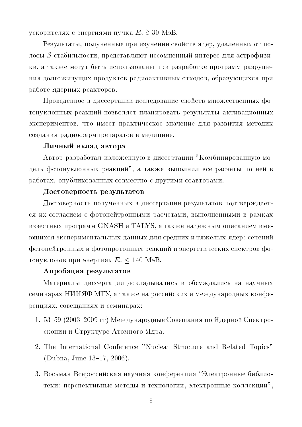ускорителях с энергиями пучка  $E_{\gamma} \gtrsim 30$  МэВ.

Результаты, полученные при изучении свойств ядер, удаленных от полосы  $\beta$ -стабильности, представляют несомненный интерес для астрофизики, а также могут быть использованы при разработке программ разрушения долгоживущих продуктов радиоактивных отходов, образующихся при работе ядерных реакторов.

Проведенное в диссертации исследование свойств множественных фотонуклонных реакций позволяет планировать результаты активационных экспериментов, что имеет практическое значение для развития методик создания радиофармпрепаратов в медицине.

#### Личный вклад автора

Автор разработал изложенную в диссертации "Комбинированную модель фотонуклонных реакций", а также выполнил все расчеты по ней в работах, опубликованных совместно с другими соавторами.

#### Достоверность результатов

Достоверность полученных в диссертации результатов подтверждается их согласием с фотонейтронными расчетами, выполненными в рамках известных программ GNASH и TALYS, а также надежным описанием имеющихся экспериментальных данных для средних и тяжелых ядер: сечений фотонейтронных и фотопротонных реакций и энергетических спектров фотонуклонов при энергиях  $E_{\gamma} \leq 140$  МэВ.

## Апробация результатов

Материалы диссертации докладывались и обсуждались на научных семинарах НИИЯФ МГУ, а также на российских и международных конференциях, совещаниях и семинарах:

- 1. 53-59 (2003-2009 гг) Международные Совещания по Ядерной Спектроскопии и Структуре Атомного Ядра.
- 2. The International Conference "Nuclear Structure and Related Topics" (Dubna, June 13-17, 2006).
- 3. Восьмая Всероссийская научная конференция "Электронные библиотеки: перспективные методы и технологии, электронные коллекции",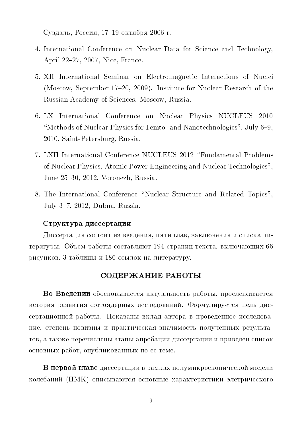$\sim$  ,  $\sim$  ,  $\sim$  ,  $\sim$  ,  $\sim$  ,  $\sim$  ,  $\sim$  ,  $\sim$  ,  $\sim$  ,  $\sim$  ,  $\sim$  ,  $\sim$  ,  $\sim$  ,  $\sim$  ,  $\sim$  ,  $\sim$  ,  $\sim$  ,  $\sim$  ,  $\sim$  ,  $\sim$  ,  $\sim$  ,  $\sim$  ,  $\sim$  ,  $\sim$  ,  $\sim$  ,  $\sim$  ,  $\sim$  ,  $\sim$  ,  $\sim$  ,  $\sim$  ,  $\sim$  ,  $\sim$ 

- 4. International Conference on Nuclear Data for Science and Technology, April 22-27, 2007, Nice, France.
- > XII International Seminar on Electromagnetic Interactions of Nuclei (Moscow, September 17-20, 2009). Institute for Nuclear Research of the Russian Academy of Sciences Moscow, Russia
- 6. LX International Conference on Nuclear Physics NUCLEUS 2010 "Methods of Nuclear Physics for Femto- and Nanotechnologies", July  $6-9$ , 2010, Saint-Petersburg, Russia.
- 7. LXII International Conference NUCLEUS 2012 "Fundamental Problems of Nuclear Physics, Atomic Power Engineering and Nuclear Technologies", June 25-30, 2012, Voronezh, Russia.
- 8. The International Conference "Nuclear Structure and Related Topics", July 3-7, 2012, Dubna, Russia.

## ++- +-)

-  , -, - # repart plan. So head passing coerant and r repaining released bilities into into the se , 9 - 7\_; - -

## СОДЕРЖАНИЕ РАБОТЫ

 - -- -, \$- -  - 0  copionalisment pacelli internetini internati alternativno impolitice necessary in , -- - - , - -\$ 
- -- -  -, -

 $\blacksquare$  . The process  $\blacksquare$  . This is the point of the set of the set of the set of  $\blacksquare$ колебаний (ПМК) описываются основные характеристики элетрического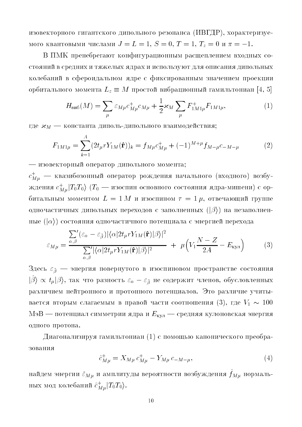изовекторного гигантского дипольного резонанса (ИВГДР), хорактеризуемого квантовыми числами  $J = L = 1$ ,  $S = 0$ ,  $T = 1$ ,  $T_z = 0$  и  $\pi = -1$ .

В ПМК пренебрегают конфигурационным расщеплением входных состояний в средних и тяжелых ядрах и используют для описания дипольных колебаний в сфероидальном ядре с фиксированным значением проекции орбитального момента  $L_z \equiv M$  простой вибрационный гамильтониан [4, 5]

$$
H_{\text{BH6}}(M) = \sum_{\mu} \varepsilon_{M\mu} c_{M\mu}^{+} c_{M\mu} + \frac{1}{2} \varkappa_{M} \sum_{\mu} F_{1M1\mu}^{+} F_{1M1\mu}, \tag{1}
$$

где  $\varkappa_M$  — константа диполь-дипольного взаимодействия;

$$
F_{1M1\mu} = \sum_{k=1}^{A} (2t_{\mu}rY_{1M}(\hat{\mathbf{r}}))_k = f_{M\mu}c_{M\mu}^+ + (-1)^{M+\mu}f_{M-\mu}c_{-M-\mu}
$$
(2)

- изовекторный оператор дипольного момента;

 $c_{Mu}^+$  — квазибозонный оператор рождения начального (входного) возбуждения  $c_{M\mu}^+|T_0T_0\rangle$  ( $T_0$  — изоспин основного состояния ядра-мишени) с орбитальным моментом  $L = 1 M$  и изоспином  $\tau = 1 \mu$ , отвечающий группе одночастичных дипольных переходов с заполненных  $(|\beta\rangle)$  на незаполненные  $(|\alpha\rangle)$  состояния одночастичного потенциала с энергией перехода

$$
\varepsilon_{M\mu} = \frac{\sum_{\alpha,\beta}' (\varepsilon_{\alpha} - \varepsilon_{\tilde{\beta}}) |\langle \alpha | 2t_{\mu} r Y_{1M}(\hat{\mathbf{r}}) | \beta \rangle|^2}{\sum_{\alpha,\beta}' |\langle \alpha | 2t_{\mu} r Y_{1M}(\hat{\mathbf{r}}) | \beta \rangle|^2} + \mu \Big( V_1 \frac{N - Z}{2A} - E_{\text{kyn}} \Big)
$$
(3)

Здесь  $\varepsilon_{\tilde{g}}$  — энергия повернутого в изоспиновом пространстве состояния  $|\hat{\beta}\rangle \propto t_{\mu}|\beta\rangle$ , так что разность  $\varepsilon_{\alpha} - \varepsilon_{\tilde{\beta}}$  не содержит членов, обусловленных различием нейтронного и протонного потенциалов. Это различие учитывается вторым слагаемым в правой части соотношения (3), где  $V_1 \sim 100$ МэВ — потенциал симметрии ядра и  $E_{\text{ky},n}$  — средняя кулоновская энергия одного протона.

Диагонализируя гамильтониан (1) с помощью канонического преобразования

$$
\hat{c}_{M\mu}^{+} = X_{M\mu} c_{M\mu}^{+} - Y_{M\mu} c_{-M-\mu}, \tag{4}
$$

найдем энергии  $\hat{\varepsilon}_{M\mu}$  и амплитуды вероятности возбуждения  $\hat{f}_{M\mu}$  нормальных мод колебаний  $\hat{c}_{M\mu}^+|T_0T_0\rangle$ .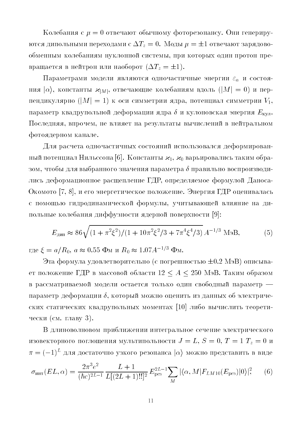Колебания с  $\mu = 0$  отвечают обычному фоторезонансу. Они генерируются дипольными переходами с  $\Delta T_z=0$ . Моды  $\mu=\pm 1$  отвечают зарядовообменным колебаниям нуклонной системы, при которых один протон превращается в нейтрон или наоборот  $(\Delta T_z = \pm 1)$ .

Параметрами модели являются одночастичные энергии  $\varepsilon_{\alpha}$  и состояния  $|\alpha\rangle$ , константы  $\varkappa_{|M|}$ , отвечающие колебаниям вдоль  $(|M| = 0)$  и перпендикулярно ( $|M| = 1$ ) к оси симметрии ядра, потенциал симметрии  $V_1$ , параметр квадрупольной деформации ядра  $\delta$  и кулоновская энергия  $E_{\text{Kv},i}$ . Последняя, впрочем, не влияет на результаты вычислений в нейтральном фотоядерном канале.

Для расчета одночастичных состояний использовался деформированный потенциал Нильссона [6]. Константы  $\varkappa_1$ ,  $\varkappa_0$  варьировались таким образом, чтобы для выбранного значения параметра  $\delta$  правильно воспроизводились деформационное расщепление ГДР, определяемое формулой Даноса-Окомото [7, 8], и его энергетическое положение. Энергия ГДР оценивалась с помощью гидродинамической формулы, учитывающей влияние на дипольные колебания диффузности ядерной поверхности [9]:

$$
E_{\text{atm}} \approx 86\sqrt{(1+\pi^2\xi^2)/(1+10\pi^2\xi^2/3+7\pi^4\xi^4/3)} A^{-1/3} \text{ M}\text{B},\tag{5}
$$

где  $\xi = a/R_0$ ,  $a \approx 0.55$  Фм и  $R_0 \approx 1.07 A^{-1/3}$  Фм.

Эта формула удовлетворительно (с погрешностью  $\pm 0.2$  МэВ) описывает положение ГДР в массовой области  $12 \le A \le 250$  МэВ. Таким образом в рассматриваемой модели остается только один свободный параметр параметр деформации  $\delta$ , который можно оценить из данных об электрических статических квадрупольных моментах [10] либо вычислить теоретически (см. главу 3).

В длиноволновом приближении интегральное сечение электрического изовекторного поглощения мультипольности  $J = L$ ,  $S = 0$ ,  $T = 1$   $T_z = 0$  и  $\pi = (-1)^L$  для достаточно узкого резонанса  $|\alpha\rangle$  можно представить в виде

$$
\sigma_{\text{HHT}}(EL,\alpha) = \frac{2\pi^3 e^2}{(\hbar c)^{2L-1}} \frac{L+1}{L[(2L+1)!!]^2} E_{\text{pes}}^{2L-1} \sum_{M} |\langle \alpha, M | F_{LM10}(E_{\text{pes}}) | 0 \rangle|^2, \tag{6}
$$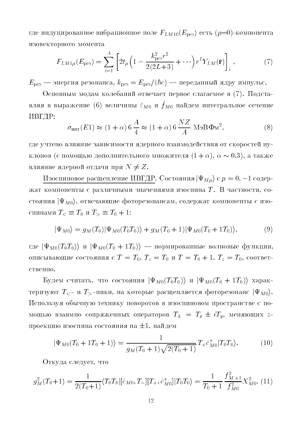где индуцированное вибрационное поле  $F_{LM10}(E_{\text{pes}})$  есть  $(\mu=0)$ -компонента изовекторного момента

$$
F_{LM1\mu}(E_{\text{pes}}) = \sum_{i=1}^{A} \left[ 2t_{\mu} \left( 1 - \frac{k_{\text{pes}}^2 r^2}{2(2L+3)} + \cdots \right) r^L Y_{LM}(\hat{\mathbf{r}}) \right]_i, \tag{7}
$$

 $E_{\text{pes}}$  — энергия резонанса,  $k_{\text{pes}} = E_{\text{pes}}/(\hbar c)$  — переданный ядру импульс.

Основным модам колебаний отвечает первое слагаемое в (7). Подставляя в выражение (6) величины  $\hat{\varepsilon}_{M0}$  и  $\hat{f}_{M0}$  найдем интегральное сечение ИВГДР:

$$
\sigma_{\text{unr}}(E1) \approx (1+\alpha) 6 \frac{A}{4} \approx (1+\alpha) 6 \frac{NZ}{A} \text{ M}_2 B \Phi_M^2, \tag{8}
$$

где учтено влияние зависимости ядерного взаимодействия от скоростей нуклонов (с помощью дополнительного множителя  $(1 + \alpha)$ ,  $\alpha \sim 0.3$ ), а также влияние ядерной отдачи при  $N \neq Z$ .

Изоспиновое расщепление ИВГДР. Состояния  $|\Psi_{M\mu}\rangle$  с  $\mu = 0, -1$  содержат компоненты с различными значениями изоспина Т. В частности, состояния  $|\Psi_{M0}\rangle$ , отвечающие фоторезонансам, содержат компоненты с изоспинами  $T_{\leq} \equiv T_0$  и  $T_{\geq} \equiv T_0 + 1$ :

$$
|\Psi_{M0}\rangle = g_M(T_0)|\Psi_{M0}(T_0T_0)\rangle + g_M(T_0+1)|\Psi_{M0}(T_0+1T_0)\rangle, \tag{9}
$$

где  $|\Psi_{M0}(T_0T_0)\rangle$  и  $|\Psi_{M0}(T_0+1T_0)\rangle$  — нормированные волновые функции, описывающие состояния с  $T = T_0$ ,  $T_z = T_0$  и  $T = T_0 + 1$ ,  $T_z = T_0$ , соответственно.

Будем считать, что состояния  $|\Psi_{M0}(T_0T_0)\rangle$  и  $|\Psi_{M0}(T_0+1T_0)\rangle$  характеризуют  $T_{\leq}$ - и  $T_{>}$ -пики, на которые расщепляется фоторезонанс  $|\Psi_{M0}\rangle$ . Используя обычную технику поворотов в изоспиновом пространстве с помощью взаимно сопряженных операторов  $T_{\pm} = T_x \pm i T_y$ , меняющих zпроекцию изоспина состояния на  $\pm 1$ , найдем

$$
|\Psi_{M0}(T_0 + 1T_0 + 1)\rangle = \frac{1}{g_M(T_0 + 1)\sqrt{2(T_0 + 1)}} T_+ \hat{c}^+_{M0} |T_0 T_0\rangle.
$$
 (10)

Откуда следует, что

$$
g_M^2(T_0+1) = \frac{1}{2(T_0+1)} \langle T_0 T_0 | [\hat{c}_{M0}, T_-][T_+, \hat{c}_{M0}^+]] T_0 T_0 \rangle = \frac{1}{T_0+1} \frac{f_{M,+1}^2}{f_{M0}^2} X_{M0}^2.
$$
 (11)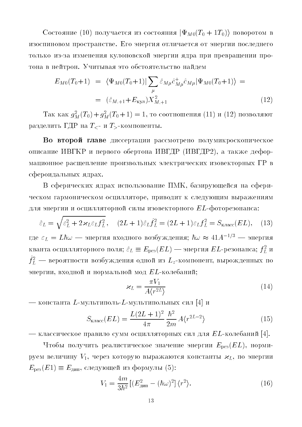Состояние (10) получается из состояния  $|\Psi_{M0}(T_0+1T_0)\rangle$  поворотом в изоспиновом пространстве. Его энергия отличается от энергии последнего только из-за изменения кулоновской энергии ядра при превращении протона в нейтрон. Учитывая это обстоятельство найдем

$$
E_{M0}(T_0+1) = \langle \Psi_{M0}(T_0+1) | \sum_{\mu} \hat{\varepsilon}_{M\mu} \hat{c}_{M\mu}^{\dagger} \hat{c}_{M\mu} | \Psi_{M0}(T_0+1) \rangle =
$$
  

$$
= (\hat{\varepsilon}_{M,+1} + E_{\kappa y \pi}) X_{M,+1}^2
$$
(12)

Так как  $g_M^2(T_0) + g_M^2(T_0 + 1) = 1$ , то соотношения (11) и (12) позволяют разделить ГДР на  $T_{\leq}$ - и  $T_{>}$ -компоненты.

Во второй главе диссертации рассмотрено полумикроскопическое описание ИВГКР и первого обертона ИВГДР (ИВГДР2), а также деформационное расщепление произвольных электрических изовекторных  $\Gamma\text{P}$  в сфероидальных ядрах.

В сферических ядрах использование ПМК, базирующейся на сферическом гармоническом осцилляторе, приводит к следующим выражениям для энергии и осцилляторной силы изовекторного  $EL$ -фоторезонанса:

$$
\hat{\varepsilon}_L = \sqrt{\varepsilon_L^2 + 2\varkappa_L \varepsilon_L f_L^2}, \quad (2L+1)\hat{\varepsilon}_L \hat{f}_L^2 = (2L+1)\varepsilon_L f_L^2 = S_{\text{K,nacc}}(EL), \quad (13)
$$

где  $\varepsilon_L = L\hbar\omega$  — энергия входного возбуждения;  $\hbar\omega \approx 41 A^{-1/3}$  — энергия кванта осцилляторного поля;  $\hat{\varepsilon}_L \equiv E_{\rm{pes}}(EL)$  — энергия  $EL$ -резонанса;  $f_L^2$  и  $\hat{f}_L^2$  — вероятности возбуждения одной из  $L_z$ -компонент, вырожденных по энергии, входной и нормальной мод  $EL$ -колебаний;

$$
\varkappa_L = \frac{\pi V_1}{A \langle r^{2L} \rangle} \tag{14}
$$

— константа L-мультиполь-L-мультипольных сил [4] и

$$
S_{\text{knacc}}(EL) = \frac{L(2L+1)^2}{4\pi} \frac{\hbar^2}{2m} A \langle r^{2L-2} \rangle \tag{15}
$$

— классическое правило сумм осцилляторных сил для  $EL$ -колебаний [4].

Чтобы получить реалистическое значение энергии  $E_{\text{pes}}(EL)$ , нормируем величину  $V_1$ , через которую выражаются константы  $\varkappa_L$ , по энергии  $E_{\text{pes}}(E1) \equiv E_{\text{diff}}$ , следующей из формулы (5):

$$
V_1 = \frac{4m}{3\hbar^2} \left[ \left( E_{\mu\mu\pi}^2 - (\hbar\omega)^2 \right] \langle r^2 \rangle. \right] \tag{16}
$$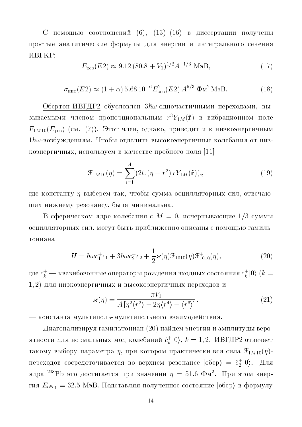С помощью соотношений  $(6)$ ,  $(13)-(16)$  в диссертации получены простые аналитические формулы для энергии и интегрального сечения **UBLKP:** 

$$
E_{\rm pes}(E2) \approx 9.12 \left(80.8 + V_1\right)^{1/2} A^{-1/3} \text{ MgB},\tag{17}
$$

$$
\sigma_{\text{unr}}(E2) \approx (1+\alpha) 5.68 10^{-6} E_{\text{pes}}^2(E2) A^{5/3} \Phi_M^2 \text{M}^3 B. \tag{18}
$$

Обертон ИВГДР2 обусловлен  $3\hbar\omega$ -одночастичными переходами, вызываемыми членом пропорциональным  $r^3 Y_{1M}(\hat{\bf r})$  в вибрационном поле  $F_{1M10}(E_{\text{pes}})$  (см. (7)). Этот член, однако, приводит и к низкоэнергичным  $1\hbar\omega$ -возбуждениям. Чтобы отделить высокоэнергичные колебания от низкоэнергичных, используем в качестве пробного поля [11]

$$
\mathcal{F}_{1M10}(\eta) = \sum_{i=1}^{A} (2t_z(\eta - r^2) r Y_{1M}(\hat{\mathbf{r}}))_i,
$$
\n(19)

где константу *η* выберем так, чтобы сумма осцилляторных сил, отвечающих нижнему резонансу, была минимальна.

В сферическом ядре колебания с  $M = 0$ , исчерпывающие 1/3 суммы осцилляторных сил, могут быть приближенно описаны с помощью гамильтониана

$$
H = \hbar\omega c_1^+ c_1 + 3\hbar\omega c_2^+ c_2 + \frac{1}{2}\varkappa(\eta)\mathcal{F}_{1010}(\eta)\mathcal{F}_{1010}^+(\eta),\tag{20}
$$

где  $c_k^+$  — квазибозонные операторы рождения входных состояния  $c_k^+|0\rangle$   $(k=$  $(1,2)$  для низкоэнергичных и высокоэнергичных переходов и

$$
\varkappa(\eta) = \frac{\pi V_1}{A\left[\eta^2\langle r^2\rangle - 2\eta\langle r^4\rangle + \langle r^6\rangle\right]},\tag{21}
$$

- константа мультиполь-мультипольного взаимодействия.

Диагонализируя гамильтониан (20) найдем энергии и амплитуды вероятности для нормальных мод колебаний  $\hat{c}_k^+(0)$ ,  $k = 1, 2$ . ИВГДР2 отвечает такому выбору параметра  $\eta$ , при котором практически вся сила  $\mathfrak{F}_{1M10}(\eta)$ переходов сосредоточивается во верхнем резонансе  $|o6ep\rangle = \hat{c}_2^+|0\rangle$ . Для ядра <sup>208</sup>РЬ это достигается при значении  $\eta = 51.6 \Phi M^2$ . При этом энергия  $E_{\text{o6ep}} = 32.5 \text{ M}_2 \cdot \text{K}$  Подставляя полученное состояние  $|\text{o6ep}\rangle$  в формулу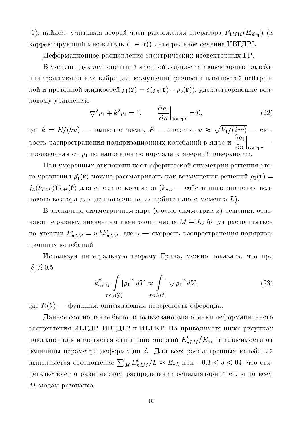(6), найдем, учитывая второй член разложения оператора  $F_{1M10}(E_{\rm o6ep})$  (и корректирующий множитель  $(1 + \alpha)$ ) интегральное сечение ИВГДР2.

## Деформационное расщепление электрических изовекторных ГР.

В модели двухкомпонентной ядерной жидкости изовекторные колебания трактуются как вибрации возмущения разности плотностей нейтронной и протонной жидкостей  $\rho_1(\mathbf{r}) = \delta(\rho_n(\mathbf{r}) - \rho_p(\mathbf{r}))$ , удовлетворяющие волновому уравнению

$$
\nabla^2 \rho_1 + k^2 \rho_1 = 0, \qquad \frac{\partial \rho_1}{\partial n} \Big|_{\text{no\,}} = 0, \tag{22}
$$

где  $k = E/(\hbar u)$  — волновое число,  $E$  — энергия,  $u \approx \sqrt{V_1/(2m)}$  — скорость распространения поляризационных колебаний в ядре и  $\frac{\partial \rho_1}{\partial n}\Big|_{\rm{no\,s} = 1}$ производная от  $\rho_1$  по направлению нормали к ядерной поверхности.

При умеренных отклонениях от сферической симметрии решения этого уравнения  $\rho'_1(\mathbf{r})$  можно рассматривать как возмущения решений  $\rho_1(\mathbf{r}) =$  $j_L(k_{nL}r)Y_{LM}(\hat{\bf r})$  для сферического ядра  $(k_{nL}$  — собственные значения волнового вектора для данного значения орбитального момента  $L$ ).

В аксиально-симметричном ядре (с осью симметрии z) решения, отвечающие разным значениям квантового числа  $M\equiv L_z$  будут расщепляться по энергии  $E'_{nLM} = u \hbar k'_{nLM}$ , где  $u$  — скорость распространения поляризационных колебаний.

Используя интегральную теорему Грина, можно показать, что при  $|\delta| \lesssim 0.5$ 

$$
k_{nLM}^{\prime 2} \int\limits_{r < R(\theta)} |\rho_1|^2 \, dV \approx \int\limits_{r < R(\theta)} |\nabla \rho_1|^2 \, dV. \tag{23}
$$

где  $R(\theta)$  — функция, описывающая поверхность сфероида.

Данное соотношение было использовано для оценки деформационного расщепления ИВГДР, ИВГДР2 и ИВГКР. На приводимых ниже рисунках показано, как изменяется отношение энергий  $E'_{nLM}/E_{nL}$  в зависимости от величины параметра деформации  $\delta$ . Для всех рассмотренных колебаний выполняется соотношение  $\sum_{M} E'_{nLM}/L \approx E_{nL}$  при  $-0.3 \le \delta \le 04$ , что свидетельствует о равномерном распределении осцилляторной силы по всем  $M$ -модам резонанса.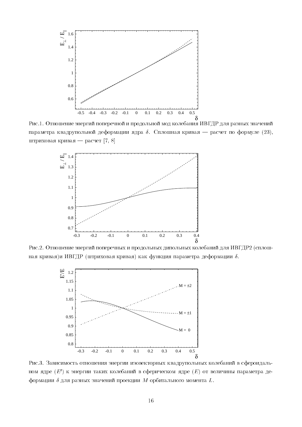

- - 
- 
 - 
 - 
 параметра квадрупольной деформации ядра  $\delta.$  Сплошная кривая — расчет по формуле  $(23),$ - ! 
-! & 
 ,-+ ./



Рис.2. Отношение энергий поперечных и продольных дипольных колебаний для ИВГДР2 (сплошная кривая)и ИВГДР (штриховая кривая) как функция параметра деформации  $\delta.$ 



- The contract of the contract of the contract of the contract of the contract of the contract of the contract of the contract of the contract of the contract of the contract of the contract of the contract of the contract ном ядре  $(E^{\prime})$  к энергии таких колебаний в сферическом ядре  $(E)$  от величины параметра де-# 
\$-- 
 - 
 \$-- M 
- L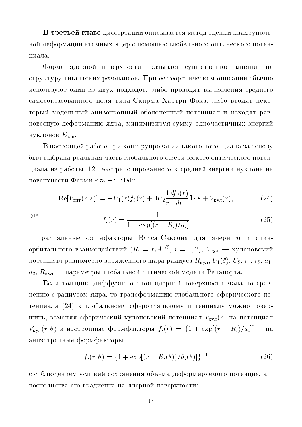++\*8 4
- - -  - - -  -# ниала. ----

 $\blacksquare$  . The contract of the contract of the contract of the contract of the contract of the contract of the contract of the contract of the contract of the contract of the contract of the contract of the contract of the expression that the production applies to the context cannot be a series of the context of the series of the s #   +   - -- - "-I~-I0-,   - - - - # -# -,  - E

! -- - - - - - - - - - - - - - - - D7:E, 
- -  - поверхности Ферми  $\bar{\varepsilon} \thickapprox -8$  Мэ $\rm B$ : -

$$
\operatorname{Re}[V_{\text{onr}}(r,\bar{\varepsilon})] = -U_1(\bar{\varepsilon})f_1(r) + 4U_2 \frac{1}{r} \frac{df_2(r)}{dr} \mathbf{1} \cdot \mathbf{s} + V_{\text{kyn}}(r),\tag{24}
$$

где

$$
f_i(r) = \frac{1}{1 + \exp[(r - R_i)/a_i]}
$$
 (25)

<sup>j</sup> -- - !-I"-   ороитального взаимодеиствии ( $\kappa_i \, \equiv \, r_i A^{\text{-}\prime\text{-}\mathrm{}}$ ,  $i \, \equiv \, 1, 2$ ),  $\, v_{\text{\tiny KVI}} \, \longrightarrow \,$ кулоновский - - -\$ %-- -- R
k U-@A, U, r-, r, a-,  $\sim$  4)  $\sim$  KV ii  $-$  . Finally constant that the constant constant of the constant  $-$  constants  $\sim$   $\sim$   $-$ 

| --   - - - # - -, - -# - - - @:BA - - - \$ %, - - V
@rA - -  $V_{\text{\tiny{KylJ}}}(r,\theta)$  и изотропные формфакторы  $f_i(r) \,=\, \{1\,+\,\exp[(r\,-\,R_i)/a_i]\}^{-1}$  на - -

$$
\hat{f}_i(r,\theta) = \{1 + \exp[(r - \hat{R}_i(\theta))/\hat{a}_i(\theta)]\}^{-1}
$$
\n(26)

a aaarstad waarna in die gebruik aan deur die deurste daar die waard waarde in die die die die deurste en die - - - -  +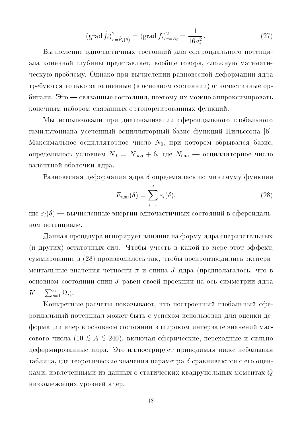$$
(\text{grad } \hat{f}_i)_{r=\hat{R}_i(\theta)}^2 = (\text{grad } f_i)_{r=R_i}^2 = \frac{1}{16a_i^2}.
$$
 (27)

Вычисление одночастичных состояний для сфероидального потенциала конечной глубины представляет, вообще говоря, сложную математическую проблему. Однако при вычислении равновесной деформации ядра требуются только заполненные (в основном состоянии) одночастичные орбитали. Это — связанные состояния, поэтому их можно аппроксимировать конечным набором связанных ортонормированных функций.

Мы использовали при диагонализации сфероидального глобального гамильтониана усеченный осцилляторный базис функций Нильссона [6]. Максимальное осцилляторное число  $N_0$ , при котором обрывался базис, определялось условием  $N_0 = N_{\text{Ba},1} + 6$ , где  $N_{\text{Ba},1}$  — осцилляторное число валентной оболочки ядра.

Равновесная деформация ядра  $\delta$  определялась по минимуму функции

$$
E_{\text{off}}(\delta) = \sum_{i=1}^{A} \varepsilon_i(\delta), \qquad (28)
$$

где  $\varepsilon_i(\delta)$  — вычисленные энергии одночастичных состояний в сфероидальном потенциале.

Данная процедура игнорирует влияние на форму ядра спаривательных (и других) остаточных сил. Чтобы учесть в какой-то мере этот эффект, суммирование в (28) производилось так, чтобы воспроизводились экспериментальные значения четности  $\pi$  и спина  $J$  ядра (предполагалось, что в основном состоянии спин  $J$  равен своей проекции на ось симметрии ядра  $K=\sum_{i=1}^A \Omega_i$ .

Конкретные расчеты показывают, что построенный глобальный сфероидальный потенциал может быть с успехом использован для оценки деформации ядер в основном состоянии в широком интервале значений массового числа (10  $\leq A \leq 240$ ), включая сферические, переходные и сильно деформированные ядра. Это иллюстрирует приводимая ниже небольшая таблица, где теоретические значения параметра  $\delta$  сравниваются с его оценками, извлеченными из данных о статических квадрупольных моментах  $Q$ низколежащих уровней ядер.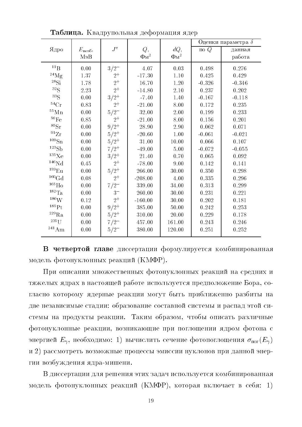|                       |                   |           |            |                         | Оценки параметра $\delta$ |           |
|-----------------------|-------------------|-----------|------------|-------------------------|---------------------------|-----------|
| Ядро                  | $E_{\text{Bos6}}$ | $J^{\pi}$ | Q,         | dQ,                     | $\text{no }Q$             | данная    |
|                       | МэВ               |           | $\Phi_M^2$ | $\Phi_{\mathrm{M}}{}^2$ |                           | работа    |
| ${}^{11}B$            | $0.00\,$          | $3/2^-$   | 4.07       | $0.03\,$                | 0.498                     | 0.276     |
| $^{24}$ Mg            | 1.37              | $2^+$     | $-17.30$   | 1.10                    | 0.425                     | 0.429     |
| $^{28}\mathrm{Si}$    | 1.78              | $2^+$     | 16.70      | 1.20                    | $-0.326$                  | $-0.346$  |
| ${}^{32}S$            | $2.23\,$          | $2^+$     | $-14.80$   | $2.10\,$                | 0.237                     | $0.202\,$ |
| ${}^{33}S$            | 0.00              | $3/2^+$   | $-7.40$    | 1.40                    | $-0.167$                  | $-0.118$  |
| ${}^{54}Cr$           | 0.83              | $2^+$     | $-21.00$   | 8.00                    | 0.172                     | 0.235     |
| $55 \text{Mn}$        | $0.00\,$          | $5/2^-$   | 32.00      | $2.00\,$                | 0.199                     | 0.233     |
| ${}^{56}\mathrm{Fe}$  | 0.85              | $2^+$     | $-21.00$   | 8.00                    | 0.156                     | 0.201     |
| ${}^{85}\mathrm{Sr}$  | 0.00              | $9/2^+$   | 28.90      | 2.90                    | 0.062                     | 0.071     |
| $^{91}\mathrm{Zr}$    | $0.00\,$          | $5/2^+$   | $-20.60$   | 1.00                    | $-0.061$                  | $-0.021$  |
| $109 \text{Sn}$       | 0.00              | $5/2^+$   | 31.00      | 10.00                   | 0.066                     | 0.107     |
| 123Sb                 | $0.00\,$          | $7/2^+$   | $-49.00$   | $5.00\,$                | $-0.072$                  | $-0.055$  |
| $^{135}\mathrm{Xe}$   | $0.00\,$          | $3/2^+$   | 21.40      | 0.70                    | 0.065                     | 0.092     |
| ${}^{146}\mathrm{Nd}$ | 0.45              | $2^+$     | $-78.00$   | 9.00                    | 0.142                     | 0.141     |
| $^{159}\mathrm{Eu}$   | 0.00              | $5/2^{+}$ | 266.00     | 30.00                   | 0.350                     | 0.298     |
| ${}^{160}\mathrm{Gd}$ | $0.08\,$          | $2^+$     | $-208.00$  | 4.00                    | 0.335                     | 0.296     |
| $^{165}\mathrm{Ho}$   | 0.00              | $7/2^{-}$ | 339.00     | 34.00                   | 0.313                     | 0.299     |
| $^{182}\mathrm{Ta}$   | 0.00              | $3-$      | 260.00     | 30.00                   | 0.231                     | 0.221     |
| $186 \text{W}$        | 0.12              | $2^+$     | $-160.00$  | 30.00                   | 0.202                     | 0.181     |
| $^{185}\mathrm{Pt}$   | 0.00              | $9/2^+$   | 385.00     | 50.00                   | 0.242                     | 0.253     |
| $^{229}\mathrm{Ra}$   | 0.00              | $5/2^+$   | 310.00     | 20.00                   | 0.229                     | 0.178     |
| $235$ []              | $0.00\,$          | $7/2^-$   | 457.00     | 161.00                  | 0.243                     | 0.246     |
| $^{241}\mathrm{Am}$   | 0.00              | $5/2^{-}$ | 380.00     | 120.00                  | 0.251                     | 0.252     |

Таблица. Квадрупольная деформация ядер

В четвертой главе диссертации формулируется комбинированная модель фотонуклонных реакций (КМФР).

При описании множественных фотонуклонных реакций на средних и тяжелых ядрах в настоящей работе используется предположение Бора, согласно которому ядерные реакции могут быть приближенно разбиты на две независимые стадии: образование составной системы и распад этой системы на продукты реакции. Таким образом, чтобы описать различные фотонуклонные реакции, возникающие при поглощении ядром фотона с энергией  $E_\gamma$ , необходимо: 1) вычислить сечение фотопоглощения  $\sigma_{\rm nor}(E_\gamma)$ и 2) рассмотреть возможные процессы эмиссии нуклонов при данной энергии возбуждения ядра-мишени.

В диссертации для решения этих задач используется комбинированная модель фотонуклонных реакций (КМФР), которая включает в себя: 1)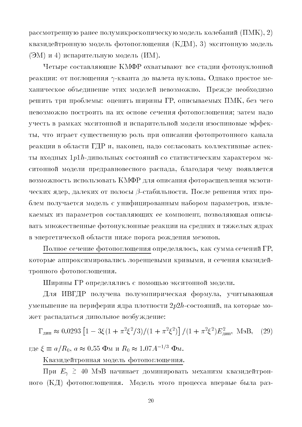рассмотренную ранее полумикроскопическую модель колебаний (ПМК), 2) квазидейтронную модель фотопоглощения (КДМ), 3) экситонную модель (ЭМ) и 4) испарительную модель (ИМ).

Четыре составляющие КМФР охватывают все стадии фотонуклонной реакции: от поглощения  $\gamma$ -кванта до вылета нуклона. Однако простое механическое объединение этих моделей невозможно. Прежде необходимо решить три проблемы: оценить ширины ГР, описываемых ПМК, без чего невозможно построить на их основе сечения фотопоглощения; затем надо учесть в рамках экситонной и испарительной модели изоспиновые эффекты, что играет существенную роль при описании фотопротонного канала реакции в области ГДР и, наконец, надо согласовать коллективные аспекты входных  $1p1h$ -дипольных состояний со статистическим характером экситонной модели предравновесного распада, благодаря чему появляется возможность использовать КМФР для описания фоторасщепления экзотических ядер, далеких от полосы  $\beta$ -стабильности. После решения этих проблем получается модель с унифицированным набором параметров, извлекаемых из параметров составляющих ее компонент, позволяющая описывать множественные фотонуклонные реакции на средних и тяжелых ядрах в энергетической области ниже порога рождения мезонов.

Полное сечение фотопоглощения определялось, как сумма сечений ГР, которые аппроксимировались лоренцевыми кривыми, и сечения квазидейтронного фотопоглощения.

Ширины ГР определялись с помощью экситонной модели.

Для ИВГДР получена полуэмпирическая формула, учитывающая уменьшение на периферии ядра плотности  $2p2h$ -состояний, на которые может распадаться дипольное возбуждение:

 $\Gamma_{\text{min}} \approx 0.0293 \left[1 - 3\xi (1 + \pi^2 \xi^2 / 3) / (1 + \pi^2 \xi^2) \right] / (1 + \pi^2 \xi^2) E_{\text{min}}^2$ , MaB,  $(29)$ 

где  $\xi \equiv a/R_0$ ,  $a \approx 0.55$  Фм и  $R_0 \approx 1.07 A^{-1/3}$  Фм.

Квазидейтронная модель фотопоглощения.

При  $E_{\gamma} \geq 40$  МэВ начинает доминировать механизм квазидейтронного (КД) фотопоглощения. Модель этого процесса впервые была раз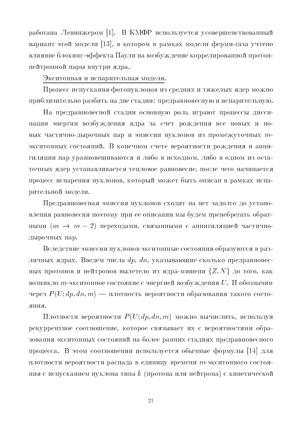работана Левинжером [1]. В КМФР используется усовершенствованный вариант этой модели [13], в котором в рамках модели ферми-газа учтено влияние блокинг-эффекта Паули на возбуждение коррелированной протоннейтронной пары внутри ядра.

#### Экситонная и испарительная модели.

Процесс испускания фотонуклонов из средних и тяжелых ядер можно приблизительно разбить на две стадии: предравновесную и испарительную.

На предравновесной стадии основную роль играют процессы диссипации энергии возбуждения ядра за счет рождения все новых и новых частично-дырочных пар и эмиссии нуклонов из промежуточных тэкситонных состояний. В конечном счете вероятности рождения и аннигиляции пар уравновешиваются и либо в исходном, либо в одном из остаточных ядер устанавливается тепловое равновесие, после чего начинается процесс испарения нуклонов, который может быть описан в рамках испарительной модели.

Предравновесная эмиссия нуклонов сходит на нет задолго до установления равновесия поэтому при ее описании мы будем пренебрегать обратными  $(m \rightarrow m-2)$  переходами, связанными с аннигиляцией частичнодырочных пар.

Вследствие эмиссии нуклонов экситонные состояния образуются в различных ядрах. Введем числа  $dp, dn$ , указывающие сколько предравновесных протонов и нейтронов вылетело из ядра-мишени  $\{Z, N\}$  до того, как возникло *т*-экситонное состояние с энергией возбуждения  $U$ . И обозначим через  $P(U; dp, dn, m)$  — плотность вероятности образования такого состо-ЯНИЯ.

Плотности вероятности  $P(U; dp, dn, m)$  можно вычислить, используя рекуррентное соотношение, которое связывает их с вероятностями образования экситонных состояний на более ранних стадиях предравновесного процесса. В этом соотношении используется обычные формулы [14] для плотности вероятности распада в единицу времени т-экситонного состояния с испусканием нуклона типа  $k$  (протона или нейтрона) с кинетической

21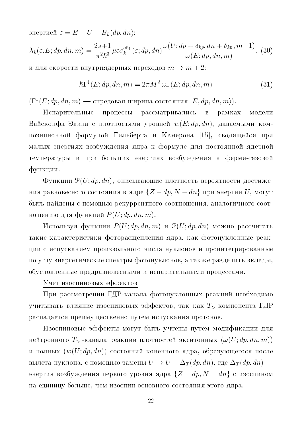` <sup>E</sup> <sup>U</sup> Bk @dp dnA+

$$
\lambda_k(\varepsilon, E; dp, dn, m) = \frac{2s+1}{\pi^2 \hbar^3} \mu \varepsilon \sigma_k^{\text{ofp}}(\varepsilon; dp, dn) \frac{\omega(U; dp + \delta_{kp}, dn + \delta_{kn}, m-1)}{\omega(E; dp, dn, m)}, (30)
$$

и для скорости внутриядерных переходов  $m \to m+2$ :

$$
\hbar\Gamma^{\downarrow}(E; dp, dn, m) = 2\pi M^2 \,\omega_{+}(E; dp, dn, m) \tag{31}
$$

 $(\Gamma^\downarrow(E; dp, dn, m)$  — спредовая ширина состояния  $|E, dp, dn, m\rangle).$ 

.- --- рамках модели !--IC - w@Ek dp dnA, -- 1 - 5- - D7>E, - - \$ -   - % \$ - 

0 P@Uk dp dnA, -#- \$ ния равновесного состояния в ядре  $\{Z-dp, N-dn\}$  при энергии  $U,$  могут  $\top$ entre nous en la criterie pentre persone es existimat ou district de la contexte de la contra  $\mathbf{r}$  . The distribution of  $\mathbf{r}$  and  $\mathbf{r}$  and  $\mathbf{r}$  and  $\mathbf{r}$  are  $\mathbf{r}$  and  $\mathbf{r}$  and  $\mathbf{r}$  are  $\mathbf{r}$  and  $\mathbf{r}$  and  $\mathbf{r}$  are  $\mathbf{r}$  and  $\mathbf{r}$  are  $\mathbf{r}$  and  $\mathbf{r}$  and  $\mathbf{r}$ 

. P @Uk dp dn mA P@Uk dp dnA \$ -- - -- -- -, - - - - -  $\mathbf{r}_1$ ,  $\mathbf{r}_2$ ,  $\mathbf{r}_3$ ,  $\mathbf{r}_4$ ,  $\mathbf{r}_5$ ,  $\mathbf{r}_6$ ,  $\mathbf{r}_7$ ,  $\mathbf{r}_7$ ,  $\mathbf{r}_8$ ,  $\mathbf{r}_7$ ,  $\mathbf{r}_8$ ,  $\mathbf{r}_9$ ,  $\mathbf{r}_9$ ,  $\mathbf{r}_9$ ,  $\mathbf{r}_9$ ,  $\mathbf{r}_9$ ,  $\mathbf{r}_9$ ,  $\mathbf{r}_9$ ,  $\mathbf{r}_9$ ,  $\mathbf{r}_9$ , - - -

## 2

4 - 1- - - -  - 
, - - T- - 1  $P$  -  $P$  -  $P$  -  $P$  -  $P$  -  $P$  -  $P$  -  $P$  -  $P$  -  $P$  -  $P$  -  $P$  -  $P$  -  $P$  -  $P$  -  $P$  -  $P$  -  $P$  -  $P$  -  $P$  -  $P$  -  $P$  -  $P$  -  $P$  -  $P$  -  $P$  -  $P$  -  $P$  -  $P$  -  $P$  -  $P$  -  $P$  -  $P$  -  $P$  -  $P$  -  $P$  -  $P$  -

. 
 -  T- - - - - @@Uk dp dn mAA @w@Uk dp dnAA -, -# вылета нуклона, с помощью замены  $U \to U-\Delta_T (dp,dn),$  где  $\Delta_T (dp,dn)=$ энергия возбуждения первого уровня ядра  $\{Z = dp, N = dn\}$  с изоспином -  %, 
 -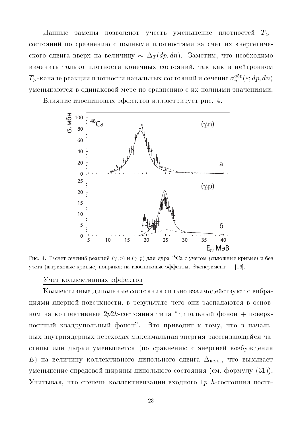Данные замены позволяют учесть уменьшение плотностей  $T_{>}$ состояний по сравнению с полными плотностями за счет их энергетического сдвига вверх на величину  $\sim \Delta_T(dp, dn)$ . Заметим, что необходимо изменить только плотности конечных состояний, так как в нейтронном  $T$ >-канале реакции плотности начальных состояний и сечение  $\sigma_n^{\rm{ofp}}(\varepsilon;dp,dn)$ уменьшаются в одинаковой мере по сравнению с их полными значениями. Влияние изоспиновых эффектов иллюстрирует рис. 4.

> о, мбн 100  $48$ Ca  $(\gamma, n)$ 80 60 40 20 a  $\Omega$ 25  $(\gamma, p)$ 20 15  $10$ 5 6  $\overline{0}$  $10$ 15 30 35 5 20 25 40  $E_{\nu}$ , M<sub>3</sub>B

Рис. 4. Расчет сечений реакций  $(\gamma, n)$  и  $(\gamma, p)$  для ядра <sup>48</sup>Са с учетом (сплошные кривые) и без учета (штриховые кривые) поправок на изоспиновые эффекты. Эксперимент – [16].

#### Учет коллективных эффектов

Коллективные дипольные состояния сильно взаимодействуют с вибрациями ядерной поверхности, в результате чего они распадаются в основном на коллективные  $2p2h$ -состояния типа "дипольный фонон + поверхностный квадрупольный фонон". Это приводит к тому, что в начальных внутриядерных переходах максимальная энергия рассеивающейся частицы или дырки уменьшается (по сравнению с энергией возбуждения E) на величину коллективного дипольного сдвига  $\Delta_{\text{\tiny{KOMI}}},$  что вызывает уменьшение спредовой ширины дипольного состояния (см. формулу (31)). Учитывая, что степень коллективизации входного 1 $p1\,h\text{-}\mathrm{coc}$ тояния посте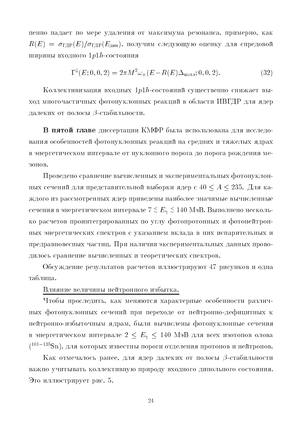пенно падает по мере удаления от максимума резонанса, примерно, как  $R(E) = \sigma_{\text{EIP}}(E)/\sigma_{\text{EIP}}(E_{\text{min}})$ , получим следующую оценку для спредовой ширины входного 1p1h-состояния

$$
\Gamma^{\downarrow}(E; 0, 0, 2) = 2\pi M^2 \omega_{+}(E - R(E)\Delta_{\text{Kol, II}}; 0, 0, 2). \tag{32}
$$

Коллективизация входных  $1p1h$ -состояний существенно снижает выход многочастичных фотонуклонных реакций в области ИВГДР для ядер далеких от полосы В-стабильности.

В пятой главе диссертации КМФР была использована для исследования особенностей фотонуклонных реакций на средних и тяжелых ядрах в энергетическом интервале от нуклонного порога до порога рождения ме-30H0B.

Проведено сравнение вычисленных и экспериментальных фотонуклонных сечений для представительной выборки ядер с 40 <  $A$  < 235. Для каждого из рассмотренных ядер приведены наиболее значимые вычисленные сечения в энергетическом интервале  $7 \le E_\gamma \le 140$  МэВ. Выполнено несколько расчетов проинтегрированных по углу фотопротонных и фотонейтронных энергетических спектров с указанием вклада в них испарительных и предравновесных частиц. При наличии экспериментальных данных проводилось сравнение вычисленных и теоретических спектров.

Обсуждение результатов расчетов иллюстрируют 47 рисунков и одна таблица.

Влияние величины нейтронного избытка.

Чтобы проследить, как меняются характерные особенности различных фотонуклонных сечений при переходе от нейтронно-дефицитных к нейтронно-избыточным ядрам, были вычислены фотонуклонные сечения в энергетическом интервале  $2 \le E_\gamma \le 140$  МэВ для всех изотопов олова  $(101-135Sn)$ , для которых известны пороги отделения протонов и нейтронов.

Как отмечалось ранее, для ядер далеких от полосы В-стабильности важно учитывать коллективную природу входного дипольного состояния. Это иллюстрирует рис. 5.

24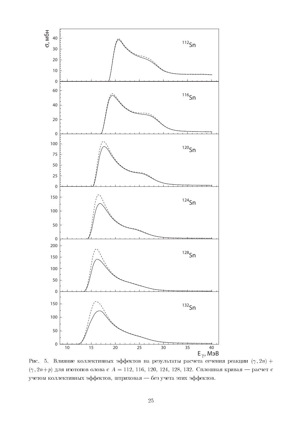

Рис. 5. Влияние коллективных эффектов на результаты расчета сечения реакции  $(\gamma, 2n)$  +  $(\gamma, 2n+p)$  для изотопов олова с  $A = 112, 116, 120, 124, 128, 132$ . Сплошная кривая — расчет с учетом коллективных эффектов, штриховая - без учета этих эффектов.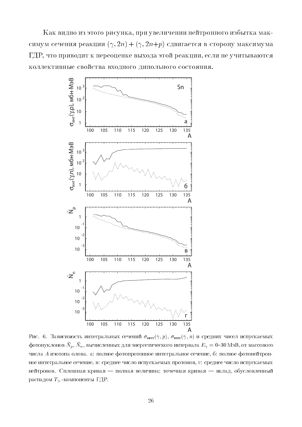Как видно из этого рисунка, при увеличении нейтронного избытка максимум сечения реакции  $(\gamma, 2n) + (\gamma, 2n+p)$  сдвигается в сторону максимума ГДР, что приводит к переоценке выхода этой реакции, если не учитываются коллективные свойства входного дипольного состояния.



Рис. 6. Зависимость интегральных сечений  $\sigma_{\text{mtr}}(\gamma, p)$ ,  $\sigma_{\text{mtr}}(\gamma, n)$  и средних чисел испускаемых фотонуклонов  $\bar{N}_p,\,\bar{N}_n,$  вычисленных для энергетического интервала  $E_\gamma=0$ –30 МэВ, от массового числа  $A$  изотопа олова. а: полное фотопротонное интегральное сечение, 6: полное фотонейтронное интегральное сечение, в: среднее число испускаемых протонов, г: среднее число испускаемых нейтронов. Сплошная кривая — полная величина; точечная кривая — вклад, обусловленный распадом  $T$  - компоненты ГДР.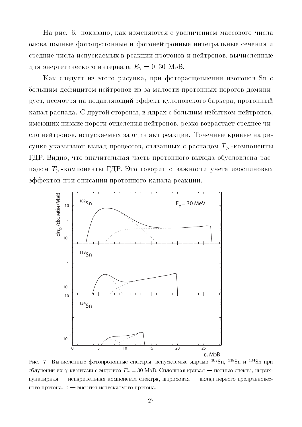На рис. 6. показано, как изменяются с увеличением массового числа олова полные фотопротонные и фотонейтронные интегральные сечения и средние числа испускаемых в реакции протонов и нейтронов, вычисленные для энергетического интервала  $E_{\gamma} = 0$ -30 МэВ.

Как следует из этого рисунка, при фоторасщеплении изотопов Sn с большим дефицитом нейтронов из-за малости протонных порогов доминирует, несмотря на подавляющий эффект кулоновского барьера, протонный канал распада. С другой стороны, в ядрах с большим избытком нейтронов, имеющих низкие пороги отделения нейтронов, резко возрастает среднее число нейтронов, испускаемых за один акт реакции. Точечные кривые на рисунке указывают вклад процессов, связанных с распадом  $T_{>}$ -компоненты ГДР. Видно, что значительная часть протонного выхода обусловлена распадом  $T_{\geq}$ -компоненты ГДР. Это говорит о важности учета изоспиновых эффектов при описании протонного канала реакции.



Рис. 7. Вычисленные фотопротонные спектры, испускаемые ядрами <sup>102</sup>Sn, <sup>118</sup>Sn и <sup>134</sup>Sn при облучении их  $\gamma$ -квантами с энергией  $E_{\gamma} = 30$  МэВ. Сплошная кривая — полный спектр, штрихпунктирная — испарительная компонента спектра, штриховая — вклад первого предравновесного протона.  $\varepsilon$  - энергия испускаемого протона.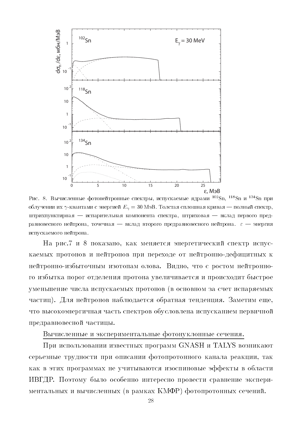

Рис. 8. Вычисленные фотонейтронные спектры, испускаемые ядрами <sup>102</sup>Sn, <sup>118</sup>Sn и <sup>134</sup>Sn при облучении их  $\gamma$ -квантами с энергией  $E_{\gamma} = 30$  МэВ. Толстая сплошная кривая — полный спектр, штрихпунктирная — испарительная компонента спектра, штриховая — вклад первого предравновесного нейтрона, точечная — вклад второго предравновесного нейтрона.  $\varepsilon$  — энергия испускаемого нейтрона.

На рис.7 и 8 показано, как меняется энергетический спектр испускаемых протонов и нейтронов при переходе от нейтронно-дефицитных к нейтронно-избыточным изотопам олова. Видно, что с ростом нейтронного избытка порог отделения протона увеличивается и происходит быстрое уменьшение числа испускаемых протонов (в основном за счет испаряемых частиц). Для нейтронов наблюдается обратная тенденция. Заметим еще, что высокоэнергичная часть спектров обусловлена испусканием первичной предравновесной частицы.

### Вычисленные и экспериментальные фотонуклонные сечения.

При использовании известных программ GNASH и TALYS возникают серьезные трудности при описании фотопротонного канала реакции, так как в этих программах не учитываются изоспиновые эффекты в области ИВГДР. Поэтому было особенно интересно провести сравнение экспериментальных и вычисленных (в рамках КМФР) фотопротонных сечений.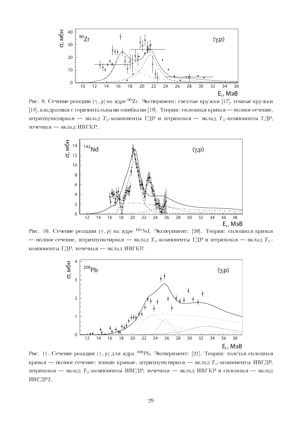

Рис. 9. Сечение реакции  $(\gamma,p)$  на ядре  $^{90}\rm{Zr}$ . Эксперимент: светлые кружки [17], темные кружки ,./+ !
-- 
- - -- ,?/ > 
-< 
-! & -+ - To you have the set of the set of the set of the set of the set of the set of the set of the set of the set o точечная — вклад ИВГКР.



Рис. 10. Сечение реакции  $(\gamma,p)$  на ядре <sup>142</sup>Nd. Эксперимент: [20]. Теория: сплошная кривая  $\mathbb{R}^n$  . To a set  $\mathbb{R}^n$  . The set of  $\mathbb{R}^n$  is the set of  $\mathbb{R}^n$ компоненты ГДР, точечная — вклад ИВГКР.



Рис. 11. Сечение реакции  $(\gamma,p)$  для ядра <sup>208</sup>РЬ. Эксперимент: [21]. Теория: толстая сплошная -! & -= - 
-!+ - "- & ! T0 + - ! & ! T0 + & ! A - & ! ИВГДР2.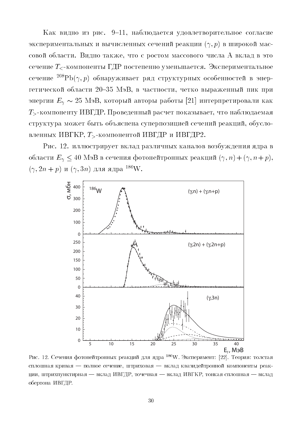Как видно из рис. 9-11, наблюдается удовлетворительное согласие экспериментальных и вычисленных сечений реакции  $(\gamma, p)$  в широкой массовой области. Видно также, что с ростом массового числа А вклад в это сечение  $T_{\leq}$ -компоненты ГДР постепенно уменьшается. Экспериментальное сечение  ${}^{208}\text{Pb}(\gamma, p)$  обнаруживает ряд структурных особенностей в энергетической области 20-35 МэВ, в частности, четко выраженный пик при энергии  $E_\gamma \sim 25$  МэВ, который авторы работы [21] интерпретировали как  $T_{\geq}$ -компоненту ИВГДР. Проведенный расчет показывает, что наблюдаемая структура может быть объяснена суперпозицией сечений реакций, обусловленных ИВГКР,  $T$ -компонентой ИВГДР и ИВГДР2.

Рис. 12. иллюстрирует вклад различных каналов возбуждения ядра в области  $E_{\gamma} \leq 40$  МэВ в сечения фотонейтронных реакций  $(\gamma, n) + (\gamma, n + p)$ ,  $(\gamma, 2n + p)$  и  $(\gamma, 3n)$  для ядра <sup>186</sup>W.



Рис. 12. Сечения фотонейтронных реакций для ядра <sup>186</sup>W. Эксперимент: [22]. Теория: толстая сплошная кривая — полное сечение, штриховая — вклад квазидейтронной компоненты реакции, штрихпунктирная — вклад ИВГДР, точечная — вклад ИВГКР, тонкая сплошная — вклад обертона ИВГДР.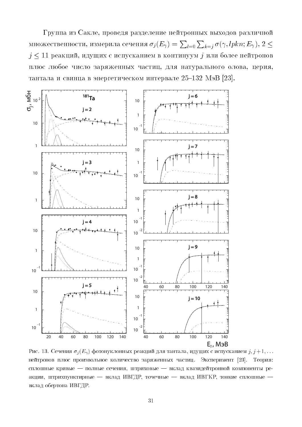Группа из Сакле, проведя разделение нейтронных выходов различной множественности, измерила сечения  $\sigma_j(E_\gamma) = \sum_{l=0} \sum_{k=j} \sigma(\gamma, lphn; E_\gamma), 2 \leq \gamma$  $j\leq 11$ реакций, идущих с испусканием в континуум $j$ или более нейтронов плюс любое число заряженных частиц, для натурального олова, церия, тантала и свинца в энергетическом интервале 25-132 МэВ [23].



Рис. 13. Сечения  $\sigma_j(E_\gamma)$  фотонуклонных реакций для тантала, идущих с испусканием  $j, j+1, \ldots$ нейтронов плюс произвольное количество заряженных частиц. Эксперимент [23]. Теория: сплошные кривые - полные сечения, штриховые - вклад квазидейтронной компоненты реакции, штрихпунктирные — вклад ИВГДР, точечные — вклад ИВГКР, тонкие сплошные вклад обертона ИВГДР.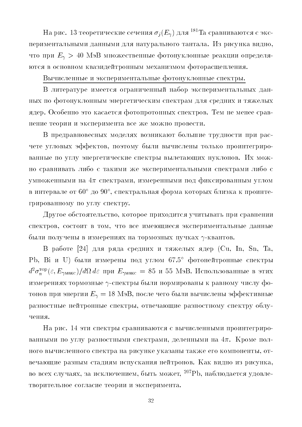На рис. 13 теоретические сечения  $\sigma_i(E_\gamma)$  для <sup>181</sup>Та сравниваются с экспериментальными данными для натурального тантала. Из рисунка видно, что при  $E_{\gamma} > 40$  МэВ множественные фотонуклонные реакции определяются в основном квазидейтронным механизмом фоторасщепления.

## Вычисленные и экспериментальные фотонуклонные спектры.

В литературе имеется ограниченный набор экспериментальных данных по фотонуклонным энергетическим спектрам для средних и тяжелых ядер. Особенно это касается фотопротонных спектров. Тем не менее сравнение теории и эксперимента все же можно провести.

В предравновесных моделях возникают большие трудности при расчете угловых эффектов, поэтому были вычислены только проинтегрированные по углу энергетические спектры вылетающих нуклонов. Их можно сравнивать либо с такими же экспериментальными спектрами либо с умноженными на  $4\pi$  спектрами, измеренными под фиксированным углом в интервале от 60° до 90°, спектральная форма которых близка к проинтегрированному по углу спектру.

Другое обстоятельство, которое приходится учитывать при сравнении спектров, состоит в том, что все имеющиеся экспериментальные данные были получены в измерениях на тормозных пучках  $\gamma$ -квантов.

В работе [24] для ряда средних и тяжелых ядер (Cu, In, Sn, Ta, Pb, Ві и U) были измерены под углом 67.5° фотонейтронные спектры  $d^2\sigma_n^{\text{top}}(\varepsilon, E_{\gamma\text{make}})/d\Omega d\varepsilon$  при  $E_{\gamma\text{make}} = 85$  и 55 МэВ. Использованные в этих измерениях тормозные  $\gamma$ -спектры были нормированы к равному числу фотонов при энергии  $E_{\gamma} = 18$  МэВ, после чего были вычислены эффективные разностные нейтронные спектры, отвечающие разностному спектру облучения.

На рис. 14 эти спектры сравниваются с вычисленными проинтегрированными по углу разностными спектрами, деленными на  $4\pi$ . Кроме полного вычисленного спектра на рисунке указаны также его компоненты, отвечающие разным стадиям испускания нейтронов. Как видно из рисунка, во всех случаях, за исключением, быть может, <sup>207</sup>Pb, наблюдается удовлетворительное согласие теории и эксперимента.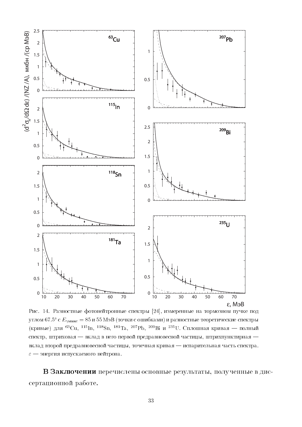

Рис. 14. Разностные фотонейтронные спектры [24], измеренные на тормозном пучке под углом 67.5° с  $E_{\gamma \text{make}} = 85$  и 55 МэВ (точки с ошибками) и разностные теоретические спектры (кривые) для <sup>63</sup>Cu, <sup>115</sup>In, <sup>118</sup>Sn, <sup>181</sup>Ta, <sup>207</sup>Pb, <sup>209</sup>Bi и <sup>235</sup>U. Сплошная кривая — полный спектр, штриховая - вклад в него первой предравновесной частицы, штрихпунктирная вклад второй предравновесной частицы, точечная кривая — испарительная часть спектра.  $\varepsilon$  — энергия испускаемого нейтрона.

В Заключении перечислены основные результаты, полученные в диссертационной работе.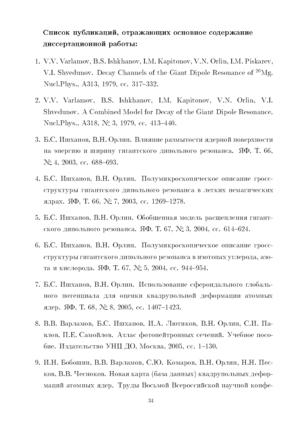# Список публикаций, отражающих основное содержание диссертационной работы:

- 1. V.V. Varlamov, B.S. Ishkhanov, I.M. Kapitonov, V.N. Orlin, I.M. Piskarev, V.I. Shvedunov. Decay Channels of the Giant Dipole Resonance of <sup>26</sup>Mg. Nucl. Phys., A313, 1979, cc. 317-332.
- 2. V.V. Varlamov, B.S. Ishkhanov, I.M. Kapitonov, V.N. Orlin, V.I. Shvedunov. A Combined Model for Decay of the Giant Dipole Resonance. Nucl. Phys., A318,  $\mathcal{N}$  3, 1979, cc. 413-440.
- 3. Б.С. Ишханов, В.Н. Орлин. Влияние размытости ядерной поверхности на энергию и ширину гигантского дипольного резонанса. ЯФ, Т. 66,  $N_2$  4, 2003, cc. 688-693.
- 4. Б.С. Ишханов, В.Н. Орлин. Полумикроскопическое описание гроссструктуры гигантского дипольного резонанса в легких немагических ядрах. ЯФ, Т. 66, № 7, 2003, сс. 1269–1278.
- 5. Б.С. Ишханов, В.Н. Орлин. Обобщенная модель расщепления гигантского дипольного резонанса. ЯФ, Т. 67, № 3, 2004, сс. 614-624.
- 6. Б.С. Ишханов, В.Н. Орлин. Полумикроскопическое описание гроссструктуры гигантского дипольного резонанса в изотопах углерода, азота и кислорода. ЯФ, Т. 67, № 5, 2004, сс. 944–954.
- 7. Б.С. Ишханов, В.Н. Орлин. Использование сфероидального глобального потенциала для оценки квадрупольной деформации атомных ядер. ЯФ, Т. 68, № 8, 2005, сс. 1407-1423.
- 8. В.В. Варламов, Б.С. Ишханов, И.А. Лютиков, В.Н. Орлин, С.И. Павлов, П.Е. Самойлов. Атлас фотонейтронных сечений. Учебное пособие. Издательство УНЦ ДО, Москва, 2005, сс. 1–130.
- 9. И.Н. Бобошин, В.В. Варламов, С.Ю. Комаров, В.Н. Орлин, Н.Н. Песков, В.В. Чесноков. Новая карта (база данных) квадрупольных деформаций атомных ядер. Труды Восьмой Всероссийской научной конфе-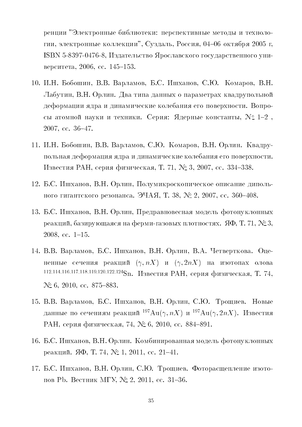ренции "Электронные библиотеки: перспективные методы и технологии, электронные коллекции", Суздаль, Россия, 04-06 октября 2005 г. ISBN 5-8397-0476-8, Издательство Ярославского государственного университета, 2006, сс. 145-153.

- 10. И.Н. Бобошин, В.В. Варламов, Б.С. Ишханов, С.Ю. Комаров, В.Н. Лабутин, В.Н. Орлин. Два типа данных о параметрах квадрупольной деформации ядра и динамические колебания его поверхности. Вопросы атомной науки и техники. Серия: Ядерные константы,  $N \geq 1-2$ , 2007, cc. 36-47.
- 11. И.Н. Бобошин, В.В. Варламов, С.Ю. Комаров, В.Н. Орлин. Квадрупольная деформация ядра и динамические колебания его поверхности. Известия РАН, серия физическая, Т. 71, № 3, 2007, сс. 334-338.
- 12. Б.С. Ишханов, В.Н. Орлин, Полумикроскопическое описание дипольного гигантского резонанса. ЭЧАЯ, Т. 38, № 2, 2007, сс. 360–408.
- 13. Б.С. Ишханов, В.Н. Орлин, Предравновесная модель фотонуклонных реакций, базирующаяся на ферми-газовых плотностях. ЯФ, Т. 71, №3,  $2008, \, \text{cc. } 1-15.$
- 14. В.В. Варламов, Б.С. Ишханов, В.Н. Орлин, В.А. Четверткова. Оцененные сечения реакций  $(\gamma, nX)$  и  $(\gamma, 2nX)$  на изотопах олова 112,114,116,117,118,119,120,122,124Sn. Известия РАН, серия физическая, Т. 74,  $N\textdegree 6$ , 2010, cc. 875–883.
- 15. В.В. Варламов, Б.С. Ишханов, В.Н. Орлин, С.Ю. Трощиев. Новые данные по сечениям реакций  $^{197}Au(\gamma, nX)$  и  $^{197}Au(\gamma, 2nX)$ . Известия РАН, серия физическая, 74, № 6, 2010, сс. 884-891.
- 16. Б.С. Ишханов, В.Н. Орлин. Комбинированная модель фотонуклонных реакций. ЯФ, Т. 74, № 1, 2011, сс. 21-41.
- 17. Б.С. Ишханов, В.Н. Орлин, С.Ю. Трощиев. Фоторасщепление изотопов РЬ. Вестник МГУ, № 2, 2011, сс. 31-36.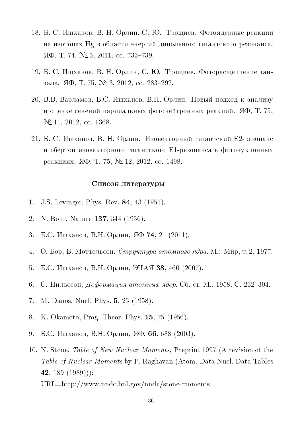- 7\_ 3 " .%- , ! \* , " F- 0 - - Hg -  - - -  $\mathfrak{H}\Phi$ , T. 74,  $\mathcal{N}\cong$  5, 2011, cc. 733-739.
- 7? 3 " .%- , ! \* , " F- 0--  $10, 10, 11$   $11$   $10, 11$   $0, 201$   $10, 00, 201$
- :< ! ! !- -, 3 " .%- , ! \*  - -- - /0, F 8>,  $N_2$  11, 2012, cc. 1368.
- :7 3 " .%- , ! \* . E: - E7 - рсакциял. ЯФ, I. IV, JN\_ IZ, ZUIZ, CC. IHJO.

#### +-+7

- 1. J.S. Levinger, Phys. Rev. **84**, 43 (1951).
- 2. N. Bohr, Nature 137, 344 (1936).
- 9 3 " .%- , ! \* , /0 F/, :7 @:<77A
- 4. О. Бор, Б. Моттельсон, *Структура атомного ядра*. М.: Мир, т. 2, 1977.
- > 3 " .%- , ! \* , C}6/ ED, B;< @:<<8A
- 6. С. Нильссон, *Деформация атомных ядер.* Сб. ст. М., 1958. С. 232–304. —
- 7. M. Danos, Nucl. Phys. 5, 23 (1958).
- 8. K. Okamoto, Prog. Theor. Phys. 15, 75 (1956).
- ? 3 " .%- , ! \* , /0 00, ;\_\_ @:<<9A
- 10. N. Stone, *Table of New Nuclear Moments*, Preprint 1997 (A revision of the Table of Nuclear Moments by P. Raghavan (Atom. Data Nucl. Data Tables 42, 189  $(1989)$ ;  $URL = http://www.nndc.bnl.gov/nndc/stone-moments$